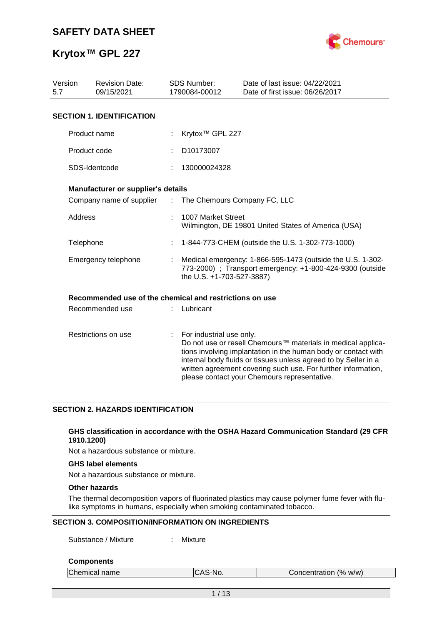

| Version<br>5.7 | <b>Revision Date:</b><br>09/15/2021                     |                       | <b>SDS Number:</b><br>1790084-00012                                                                                                                  | Date of last issue: 04/22/2021<br>Date of first issue: 06/26/2017                                                                                                                                                                                                                                                  |  |  |
|----------------|---------------------------------------------------------|-----------------------|------------------------------------------------------------------------------------------------------------------------------------------------------|--------------------------------------------------------------------------------------------------------------------------------------------------------------------------------------------------------------------------------------------------------------------------------------------------------------------|--|--|
|                | <b>SECTION 1. IDENTIFICATION</b>                        |                       |                                                                                                                                                      |                                                                                                                                                                                                                                                                                                                    |  |  |
|                | Product name                                            |                       | Krytox <sup>™</sup> GPL 227                                                                                                                          |                                                                                                                                                                                                                                                                                                                    |  |  |
|                | Product code                                            |                       | D10173007                                                                                                                                            |                                                                                                                                                                                                                                                                                                                    |  |  |
|                | SDS-Identcode                                           |                       | 130000024328                                                                                                                                         |                                                                                                                                                                                                                                                                                                                    |  |  |
|                | <b>Manufacturer or supplier's details</b>               |                       |                                                                                                                                                      |                                                                                                                                                                                                                                                                                                                    |  |  |
|                | Company name of supplier                                | $\mathbb{Z}^{\times}$ | The Chemours Company FC, LLC                                                                                                                         |                                                                                                                                                                                                                                                                                                                    |  |  |
| Address        |                                                         |                       | 1007 Market Street                                                                                                                                   | Wilmington, DE 19801 United States of America (USA)                                                                                                                                                                                                                                                                |  |  |
| Telephone      |                                                         |                       |                                                                                                                                                      | 1-844-773-CHEM (outside the U.S. 1-302-773-1000)                                                                                                                                                                                                                                                                   |  |  |
|                | Emergency telephone                                     |                       | Medical emergency: 1-866-595-1473 (outside the U.S. 1-302-<br>773-2000) ; Transport emergency: +1-800-424-9300 (outside<br>the U.S. +1-703-527-3887) |                                                                                                                                                                                                                                                                                                                    |  |  |
|                | Recommended use of the chemical and restrictions on use |                       |                                                                                                                                                      |                                                                                                                                                                                                                                                                                                                    |  |  |
|                | Recommended use                                         |                       | Lubricant                                                                                                                                            |                                                                                                                                                                                                                                                                                                                    |  |  |
|                | Restrictions on use                                     | ÷                     | For industrial use only.                                                                                                                             | Do not use or resell Chemours™ materials in medical applica-<br>tions involving implantation in the human body or contact with<br>internal body fluids or tissues unless agreed to by Seller in a<br>written agreement covering such use. For further information,<br>please contact your Chemours representative. |  |  |

### **SECTION 2. HAZARDS IDENTIFICATION**

### **GHS classification in accordance with the OSHA Hazard Communication Standard (29 CFR 1910.1200)**

Not a hazardous substance or mixture.

### **GHS label elements**

Not a hazardous substance or mixture.

### **Other hazards**

The thermal decomposition vapors of fluorinated plastics may cause polymer fume fever with flulike symptoms in humans, especially when smoking contaminated tobacco.

### **SECTION 3. COMPOSITION/INFORMATION ON INGREDIENTS**

Substance / Mixture : Mixture

### **Components**

| Chemical name | ICAS-No. | Concentration (% w/w) |  |
|---------------|----------|-----------------------|--|
|               |          |                       |  |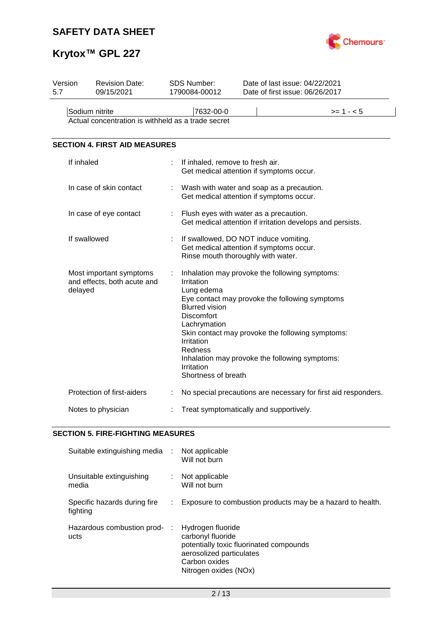

# **Krytox™ GPL 227**

| Version<br>5.7 | <b>Revision Date:</b><br>09/15/2021                                  |   | <b>SDS Number:</b><br>1790084-00012                                                                                                                  | Date of last issue: 04/22/2021<br>Date of first issue: 06/26/2017                                                                                                                                      |  |  |  |
|----------------|----------------------------------------------------------------------|---|------------------------------------------------------------------------------------------------------------------------------------------------------|--------------------------------------------------------------------------------------------------------------------------------------------------------------------------------------------------------|--|--|--|
|                | Sodium nitrite<br>Actual concentration is withheld as a trade secret |   | 7632-00-0                                                                                                                                            | $>= 1 - 5$                                                                                                                                                                                             |  |  |  |
|                | <b>SECTION 4. FIRST AID MEASURES</b>                                 |   |                                                                                                                                                      |                                                                                                                                                                                                        |  |  |  |
|                | If inhaled                                                           |   | If inhaled, remove to fresh air.                                                                                                                     | Get medical attention if symptoms occur.                                                                                                                                                               |  |  |  |
|                | In case of skin contact                                              |   |                                                                                                                                                      | Wash with water and soap as a precaution.<br>Get medical attention if symptoms occur.                                                                                                                  |  |  |  |
|                | In case of eye contact                                               |   | Flush eyes with water as a precaution.<br>Get medical attention if irritation develops and persists.                                                 |                                                                                                                                                                                                        |  |  |  |
|                | If swallowed                                                         |   |                                                                                                                                                      | If swallowed, DO NOT induce vomiting.<br>Get medical attention if symptoms occur.<br>Rinse mouth thoroughly with water.                                                                                |  |  |  |
|                | Most important symptoms<br>and effects, both acute and<br>delayed    |   | Irritation<br>Lung edema<br><b>Blurred vision</b><br><b>Discomfort</b><br>Lachrymation<br>Irritation<br>Redness<br>Irritation<br>Shortness of breath | Inhalation may provoke the following symptoms:<br>Eye contact may provoke the following symptoms<br>Skin contact may provoke the following symptoms:<br>Inhalation may provoke the following symptoms: |  |  |  |
|                | Protection of first-aiders                                           | ÷ |                                                                                                                                                      | No special precautions are necessary for first aid responders.                                                                                                                                         |  |  |  |
|                | Notes to physician                                                   |   |                                                                                                                                                      | Treat symptomatically and supportively.                                                                                                                                                                |  |  |  |

## **SECTION 5. FIRE-FIGHTING MEASURES**

| Suitable extinguishing media :           |    | Not applicable<br>Will not burn                                                                                                                         |
|------------------------------------------|----|---------------------------------------------------------------------------------------------------------------------------------------------------------|
| Unsuitable extinguishing<br>media        |    | : Not applicable<br>Will not burn                                                                                                                       |
| Specific hazards during fire<br>fighting | ÷. | Exposure to combustion products may be a hazard to health.                                                                                              |
| Hazardous combustion prod-<br>ucts       | ÷  | Hydrogen fluoride<br>carbonyl fluoride<br>potentially toxic fluorinated compounds<br>aerosolized particulates<br>Carbon oxides<br>Nitrogen oxides (NOx) |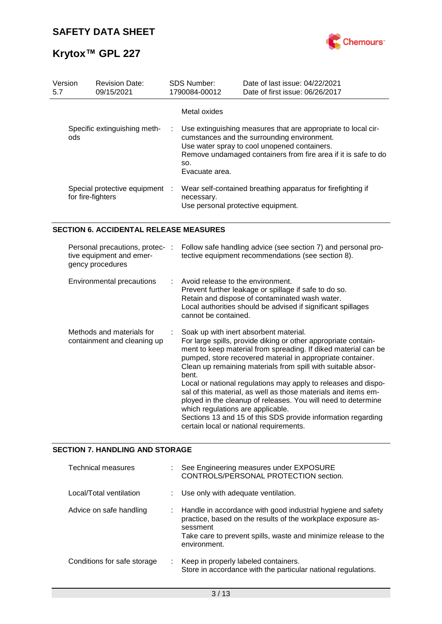

| Version<br>5.7 | <b>Revision Date:</b><br>09/15/2021               |  | <b>SDS Number:</b><br>1790084-00012                                                                                                                                                                                                                           | Date of last issue: 04/22/2021<br>Date of first issue: 06/26/2017                                 |  |  |
|----------------|---------------------------------------------------|--|---------------------------------------------------------------------------------------------------------------------------------------------------------------------------------------------------------------------------------------------------------------|---------------------------------------------------------------------------------------------------|--|--|
|                |                                                   |  | Metal oxides                                                                                                                                                                                                                                                  |                                                                                                   |  |  |
| ods            | Specific extinguishing meth-                      |  | Use extinguishing measures that are appropriate to local cir-<br>÷.<br>cumstances and the surrounding environment.<br>Use water spray to cool unopened containers.<br>Remove undamaged containers from fire area if it is safe to do<br>SO.<br>Evacuate area. |                                                                                                   |  |  |
|                | Special protective equipment<br>for fire-fighters |  | necessary.                                                                                                                                                                                                                                                    | Wear self-contained breathing apparatus for firefighting if<br>Use personal protective equipment. |  |  |

## **SECTION 6. ACCIDENTAL RELEASE MEASURES**

| Personal precautions, protec- :<br>tive equipment and emer-<br>gency procedures | Follow safe handling advice (see section 7) and personal pro-<br>tective equipment recommendations (see section 8).                                                                                                                                                                                                                                                                                                                                                                                                                                                                                                                                                    |
|---------------------------------------------------------------------------------|------------------------------------------------------------------------------------------------------------------------------------------------------------------------------------------------------------------------------------------------------------------------------------------------------------------------------------------------------------------------------------------------------------------------------------------------------------------------------------------------------------------------------------------------------------------------------------------------------------------------------------------------------------------------|
| Environmental precautions                                                       | $\therefore$ Avoid release to the environment.<br>Prevent further leakage or spillage if safe to do so.<br>Retain and dispose of contaminated wash water.<br>Local authorities should be advised if significant spillages<br>cannot be contained.                                                                                                                                                                                                                                                                                                                                                                                                                      |
| Methods and materials for<br>containment and cleaning up                        | Soak up with inert absorbent material.<br>For large spills, provide diking or other appropriate contain-<br>ment to keep material from spreading. If diked material can be<br>pumped, store recovered material in appropriate container.<br>Clean up remaining materials from spill with suitable absor-<br>bent.<br>Local or national regulations may apply to releases and dispo-<br>sal of this material, as well as those materials and items em-<br>ployed in the cleanup of releases. You will need to determine<br>which regulations are applicable.<br>Sections 13 and 15 of this SDS provide information regarding<br>certain local or national requirements. |

### **SECTION 7. HANDLING AND STORAGE**

| <b>Technical measures</b>   | See Engineering measures under EXPOSURE<br>CONTROLS/PERSONAL PROTECTION section.                                                                                                                                           |
|-----------------------------|----------------------------------------------------------------------------------------------------------------------------------------------------------------------------------------------------------------------------|
| Local/Total ventilation     | Use only with adequate ventilation.                                                                                                                                                                                        |
| Advice on safe handling     | Handle in accordance with good industrial hygiene and safety<br>practice, based on the results of the workplace exposure as-<br>sessment<br>Take care to prevent spills, waste and minimize release to the<br>environment. |
| Conditions for safe storage | Keep in properly labeled containers.<br>Store in accordance with the particular national regulations.                                                                                                                      |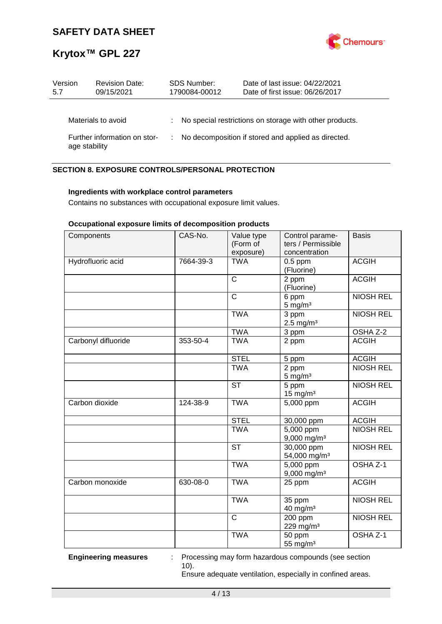

| Version<br>5.7 | <b>Revision Date:</b><br>09/15/2021 | <b>SDS Number:</b><br>1790084-00012 | Date of last issue: 04/22/2021<br>Date of first issue: 06/26/2017 |
|----------------|-------------------------------------|-------------------------------------|-------------------------------------------------------------------|
|                | Materials to avoid                  |                                     | : No special restrictions on storage with other products.         |
| age stability  | Further information on stor-        |                                     | No decomposition if stored and applied as directed.               |

## **SECTION 8. EXPOSURE CONTROLS/PERSONAL PROTECTION**

### **Ingredients with workplace control parameters**

Contains no substances with occupational exposure limit values.

## **Occupational exposure limits of decomposition products**

| Components          | CAS-No.   | Value type<br>(Form of<br>exposure) | Control parame-<br>ters / Permissible<br>concentration | <b>Basis</b>     |
|---------------------|-----------|-------------------------------------|--------------------------------------------------------|------------------|
| Hydrofluoric acid   | 7664-39-3 | <b>TWA</b>                          | $0.5$ ppm<br>(Fluorine)                                | <b>ACGIH</b>     |
|                     |           | $\overline{\text{c}}$               | 2 ppm<br>(Fluorine)                                    | <b>ACGIH</b>     |
|                     |           | $\overline{\text{c}}$               | 6 ppm<br>$5 \text{ mg/m}^3$                            | <b>NIOSH REL</b> |
|                     |           | <b>TWA</b>                          | 3 ppm<br>$2.5$ mg/m <sup>3</sup>                       | <b>NIOSH REL</b> |
|                     |           | <b>TWA</b>                          | 3 ppm                                                  | OSHA Z-2         |
| Carbonyl difluoride | 353-50-4  | <b>TWA</b>                          | 2 ppm                                                  | <b>ACGIH</b>     |
|                     |           | <b>STEL</b>                         | 5 ppm                                                  | <b>ACGIH</b>     |
|                     |           | <b>TWA</b>                          | 2 ppm<br>$5$ mg/m <sup>3</sup>                         | <b>NIOSH REL</b> |
|                     |           | <b>ST</b>                           | 5 ppm<br>$15$ mg/m <sup>3</sup>                        | <b>NIOSH REL</b> |
| Carbon dioxide      | 124-38-9  | <b>TWA</b>                          | 5,000 ppm                                              | <b>ACGIH</b>     |
|                     |           | <b>STEL</b>                         | 30,000 ppm                                             | <b>ACGIH</b>     |
|                     |           | <b>TWA</b>                          | $5,000$ ppm<br>9,000 mg/m <sup>3</sup>                 | <b>NIOSH REL</b> |
|                     |           | <b>ST</b>                           | 30,000 ppm<br>54,000 mg/m <sup>3</sup>                 | <b>NIOSH REL</b> |
|                     |           | <b>TWA</b>                          | 5,000 ppm<br>$9,000$ mg/m <sup>3</sup>                 | OSHA Z-1         |
| Carbon monoxide     | 630-08-0  | <b>TWA</b>                          | 25 ppm                                                 | <b>ACGIH</b>     |
|                     |           | <b>TWA</b>                          | 35 ppm<br>$40$ mg/m <sup>3</sup>                       | <b>NIOSH REL</b> |
|                     |           | $\overline{\text{c}}$               | 200 ppm<br>229 mg/m <sup>3</sup>                       | <b>NIOSH REL</b> |
|                     |           | <b>TWA</b>                          | 50 ppm<br>55 mg/m <sup>3</sup>                         | OSHA Z-1         |

**Engineering measures** : Processing may form hazardous compounds (see section 10).

Ensure adequate ventilation, especially in confined areas.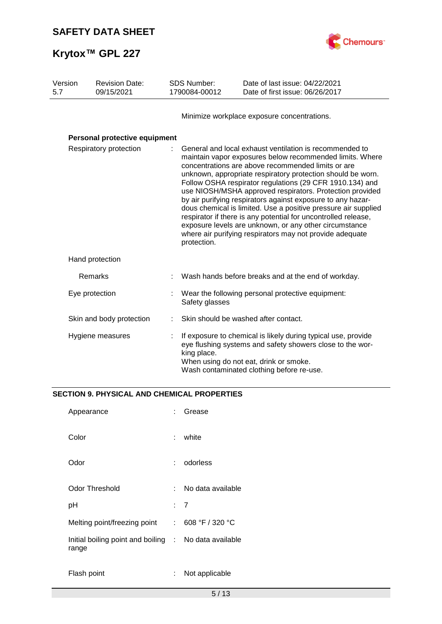

| Version<br><b>Revision Date:</b><br>09/15/2021<br>5.7 |                               | <b>SDS Number:</b><br>1790084-00012 | Date of last issue: 04/22/2021<br>Date of first issue: 06/26/2017                                                                                                                                                                                                                                                                                                                                                                                                                                                                                                                                                                                                                                        |                                                                                                                                                                                                                   |
|-------------------------------------------------------|-------------------------------|-------------------------------------|----------------------------------------------------------------------------------------------------------------------------------------------------------------------------------------------------------------------------------------------------------------------------------------------------------------------------------------------------------------------------------------------------------------------------------------------------------------------------------------------------------------------------------------------------------------------------------------------------------------------------------------------------------------------------------------------------------|-------------------------------------------------------------------------------------------------------------------------------------------------------------------------------------------------------------------|
|                                                       |                               |                                     |                                                                                                                                                                                                                                                                                                                                                                                                                                                                                                                                                                                                                                                                                                          | Minimize workplace exposure concentrations.                                                                                                                                                                       |
|                                                       | Personal protective equipment |                                     |                                                                                                                                                                                                                                                                                                                                                                                                                                                                                                                                                                                                                                                                                                          |                                                                                                                                                                                                                   |
| Respiratory protection                                |                               |                                     | General and local exhaust ventilation is recommended to<br>maintain vapor exposures below recommended limits. Where<br>concentrations are above recommended limits or are<br>unknown, appropriate respiratory protection should be worn.<br>Follow OSHA respirator regulations (29 CFR 1910.134) and<br>use NIOSH/MSHA approved respirators. Protection provided<br>by air purifying respirators against exposure to any hazar-<br>dous chemical is limited. Use a positive pressure air supplied<br>respirator if there is any potential for uncontrolled release,<br>exposure levels are unknown, or any other circumstance<br>where air purifying respirators may not provide adequate<br>protection. |                                                                                                                                                                                                                   |
|                                                       | Hand protection               |                                     |                                                                                                                                                                                                                                                                                                                                                                                                                                                                                                                                                                                                                                                                                                          |                                                                                                                                                                                                                   |
|                                                       | Remarks                       |                                     |                                                                                                                                                                                                                                                                                                                                                                                                                                                                                                                                                                                                                                                                                                          | Wash hands before breaks and at the end of workday.                                                                                                                                                               |
|                                                       | Eye protection                |                                     | Safety glasses                                                                                                                                                                                                                                                                                                                                                                                                                                                                                                                                                                                                                                                                                           | Wear the following personal protective equipment:                                                                                                                                                                 |
|                                                       | Skin and body protection      |                                     |                                                                                                                                                                                                                                                                                                                                                                                                                                                                                                                                                                                                                                                                                                          | Skin should be washed after contact.                                                                                                                                                                              |
|                                                       | Hygiene measures              |                                     | king place.                                                                                                                                                                                                                                                                                                                                                                                                                                                                                                                                                                                                                                                                                              | If exposure to chemical is likely during typical use, provide<br>eye flushing systems and safety showers close to the wor-<br>When using do not eat, drink or smoke.<br>Wash contaminated clothing before re-use. |

# **SECTION 9. PHYSICAL AND CHEMICAL PROPERTIES**

| Appearance                                                     |     | Grease            |
|----------------------------------------------------------------|-----|-------------------|
| Color                                                          |     | white             |
| Odor                                                           |     | odorless          |
| Odor Threshold                                                 | × 1 | No data available |
| рH                                                             |     | : 7               |
| Melting point/freezing point                                   | t.  | 608 °F / 320 °C   |
| Initial boiling point and boiling : No data available<br>range |     |                   |
| Flash point                                                    |     | Not applicable    |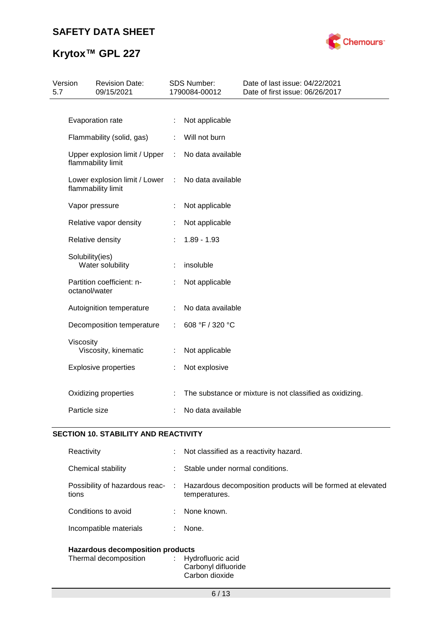# **Krytox™ GPL 227**



| 5.7 | Version<br><b>Revision Date:</b><br>09/15/2021 |                                                     | <b>SDS Number:</b><br>1790084-00012 |                   | Date of last issue: 04/22/2021<br>Date of first issue: 06/26/2017 |  |  |
|-----|------------------------------------------------|-----------------------------------------------------|-------------------------------------|-------------------|-------------------------------------------------------------------|--|--|
|     |                                                |                                                     |                                     |                   |                                                                   |  |  |
|     |                                                | Evaporation rate                                    | ÷                                   | Not applicable    |                                                                   |  |  |
|     |                                                | Flammability (solid, gas)                           | ÷                                   | Will not burn     |                                                                   |  |  |
|     |                                                | Upper explosion limit / Upper<br>flammability limit | $\mathbb{C}^{\mathbb{Z}}$           | No data available |                                                                   |  |  |
|     |                                                | Lower explosion limit / Lower<br>flammability limit | ÷                                   | No data available |                                                                   |  |  |
|     |                                                | Vapor pressure                                      |                                     | Not applicable    |                                                                   |  |  |
|     |                                                | Relative vapor density                              |                                     | Not applicable    |                                                                   |  |  |
|     |                                                | Relative density                                    |                                     | $1.89 - 1.93$     |                                                                   |  |  |
|     | Solubility(ies)                                | Water solubility                                    |                                     | insoluble         |                                                                   |  |  |
|     | octanol/water                                  | Partition coefficient: n-                           |                                     | Not applicable    |                                                                   |  |  |
|     |                                                | Autoignition temperature                            | ÷                                   | No data available |                                                                   |  |  |
|     |                                                | Decomposition temperature                           | ÷                                   | 608 °F / 320 °C   |                                                                   |  |  |
|     | Viscosity                                      | Viscosity, kinematic                                |                                     | Not applicable    |                                                                   |  |  |
|     |                                                | <b>Explosive properties</b>                         | ÷                                   | Not explosive     |                                                                   |  |  |
|     |                                                | Oxidizing properties                                |                                     |                   | The substance or mixture is not classified as oxidizing.          |  |  |
|     | Particle size                                  |                                                     |                                     | No data available |                                                                   |  |  |

## **SECTION 10. STABILITY AND REACTIVITY**

| Reactivity                                                       | t. | Not classified as a reactivity hazard.                                         |  |  |
|------------------------------------------------------------------|----|--------------------------------------------------------------------------------|--|--|
| Chemical stability                                               | ÷  | Stable under normal conditions.                                                |  |  |
| Possibility of hazardous reac-<br>tions                          |    | : Hazardous decomposition products will be formed at elevated<br>temperatures. |  |  |
| Conditions to avoid                                              | ÷. | None known.                                                                    |  |  |
| Incompatible materials                                           | ÷. | None.                                                                          |  |  |
| <b>Hazardous decomposition products</b><br>Thermal decomposition |    | Hydrofluoric acid                                                              |  |  |

## Carbonyl difluoride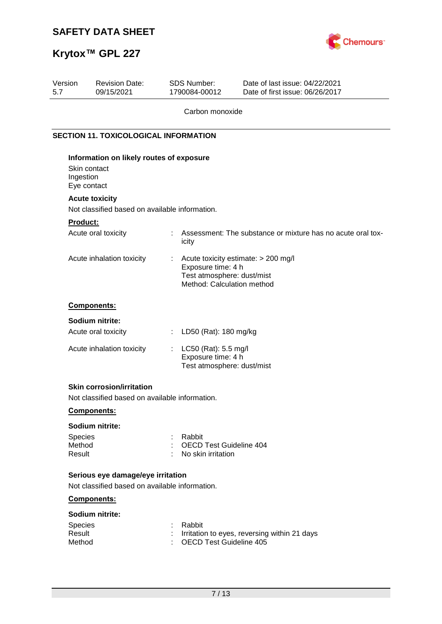

# **Krytox™ GPL 227**

| Version<br>5.7    | <b>Revision Date:</b><br>09/15/2021                                                 | SDS Number:<br>1790084-00012                             | Date of last issue: 04/22/2021<br>Date of first issue: 06/26/2017 |
|-------------------|-------------------------------------------------------------------------------------|----------------------------------------------------------|-------------------------------------------------------------------|
|                   |                                                                                     | Carbon monoxide                                          |                                                                   |
|                   | <b>SECTION 11. TOXICOLOGICAL INFORMATION</b>                                        |                                                          |                                                                   |
|                   | Information on likely routes of exposure                                            |                                                          |                                                                   |
|                   | Skin contact                                                                        |                                                          |                                                                   |
| Ingestion         |                                                                                     |                                                          |                                                                   |
|                   | Eye contact                                                                         |                                                          |                                                                   |
|                   | <b>Acute toxicity</b>                                                               |                                                          |                                                                   |
|                   | Not classified based on available information.                                      |                                                          |                                                                   |
| <b>Product:</b>   |                                                                                     |                                                          |                                                                   |
|                   | Acute oral toxicity                                                                 | ÷<br>icity                                               | Assessment: The substance or mixture has no acute oral tox-       |
|                   | Acute inhalation toxicity                                                           | t                                                        | Acute toxicity estimate: > 200 mg/l                               |
|                   |                                                                                     | Exposure time: 4 h                                       |                                                                   |
|                   |                                                                                     | Test atmosphere: dust/mist<br>Method: Calculation method |                                                                   |
|                   |                                                                                     |                                                          |                                                                   |
|                   | Components:                                                                         |                                                          |                                                                   |
|                   | Sodium nitrite:                                                                     |                                                          |                                                                   |
|                   | Acute oral toxicity                                                                 | LD50 (Rat): 180 mg/kg<br>÷                               |                                                                   |
|                   | Acute inhalation toxicity                                                           | LC50 (Rat): 5.5 mg/l<br>÷                                |                                                                   |
|                   |                                                                                     | Exposure time: 4 h                                       |                                                                   |
|                   |                                                                                     | Test atmosphere: dust/mist                               |                                                                   |
|                   | <b>Skin corrosion/irritation</b>                                                    |                                                          |                                                                   |
|                   | Not classified based on available information.                                      |                                                          |                                                                   |
|                   | Components:                                                                         |                                                          |                                                                   |
|                   |                                                                                     |                                                          |                                                                   |
|                   | Sodium nitrite:                                                                     |                                                          |                                                                   |
| Species<br>Method |                                                                                     | Rabbit<br>÷<br><b>OECD Test Guideline 404</b>            |                                                                   |
| Result            |                                                                                     | No skin irritation                                       |                                                                   |
|                   |                                                                                     |                                                          |                                                                   |
|                   | Serious eye damage/eye irritation<br>Not classified based on available information. |                                                          |                                                                   |
|                   | Components:                                                                         |                                                          |                                                                   |
|                   | Sodium nitrite:                                                                     |                                                          |                                                                   |
| <b>Species</b>    |                                                                                     | Rabbit                                                   |                                                                   |
| Result            |                                                                                     |                                                          | Irritation to eyes, reversing within 21 days                      |
| Method            |                                                                                     | <b>OECD Test Guideline 405</b>                           |                                                                   |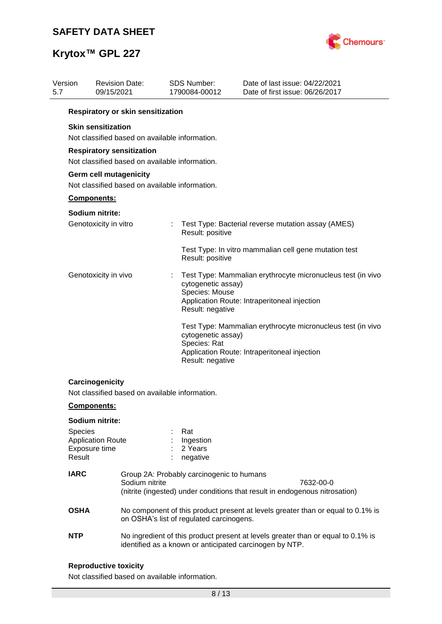

| Version<br>5.7                                                           | 09/15/2021                                                                         | <b>Revision Date:</b>                          | <b>SDS Number:</b><br>1790084-00012 |                                                          | Date of last issue: 04/22/2021<br>Date of first issue: 06/26/2017                                                                           |  |  |  |  |
|--------------------------------------------------------------------------|------------------------------------------------------------------------------------|------------------------------------------------|-------------------------------------|----------------------------------------------------------|---------------------------------------------------------------------------------------------------------------------------------------------|--|--|--|--|
|                                                                          | Respiratory or skin sensitization                                                  |                                                |                                     |                                                          |                                                                                                                                             |  |  |  |  |
|                                                                          | <b>Skin sensitization</b>                                                          | Not classified based on available information. |                                     |                                                          |                                                                                                                                             |  |  |  |  |
|                                                                          | <b>Respiratory sensitization</b><br>Not classified based on available information. |                                                |                                     |                                                          |                                                                                                                                             |  |  |  |  |
| Germ cell mutagenicity<br>Not classified based on available information. |                                                                                    |                                                |                                     |                                                          |                                                                                                                                             |  |  |  |  |
|                                                                          | Components:                                                                        |                                                |                                     |                                                          |                                                                                                                                             |  |  |  |  |
|                                                                          | Sodium nitrite:                                                                    |                                                |                                     |                                                          |                                                                                                                                             |  |  |  |  |
|                                                                          | Genotoxicity in vitro                                                              |                                                | $\mathbb{Z}^{\mathbb{Z}}$           | Result: positive                                         | Test Type: Bacterial reverse mutation assay (AMES)                                                                                          |  |  |  |  |
|                                                                          |                                                                                    |                                                |                                     | Result: positive                                         | Test Type: In vitro mammalian cell gene mutation test                                                                                       |  |  |  |  |
|                                                                          | Genotoxicity in vivo                                                               |                                                |                                     | cytogenetic assay)<br>Species: Mouse<br>Result: negative | Test Type: Mammalian erythrocyte micronucleus test (in vivo<br>Application Route: Intraperitoneal injection                                 |  |  |  |  |
|                                                                          |                                                                                    |                                                |                                     | cytogenetic assay)<br>Species: Rat<br>Result: negative   | Test Type: Mammalian erythrocyte micronucleus test (in vivo<br>Application Route: Intraperitoneal injection                                 |  |  |  |  |
|                                                                          | Carcinogenicity                                                                    | Not classified based on available information. |                                     |                                                          |                                                                                                                                             |  |  |  |  |
|                                                                          | <b>Components:</b>                                                                 |                                                |                                     |                                                          |                                                                                                                                             |  |  |  |  |
|                                                                          | Sodium nitrite:                                                                    |                                                |                                     |                                                          |                                                                                                                                             |  |  |  |  |
| Result                                                                   | Species<br><b>Application Route</b><br>Exposure time                               |                                                |                                     | Rat<br>Ingestion<br>2 Years<br>negative                  |                                                                                                                                             |  |  |  |  |
|                                                                          | <b>IARC</b><br>Sodium nitrite                                                      |                                                |                                     | Group 2A: Probably carcinogenic to humans                | 7632-00-0<br>(nitrite (ingested) under conditions that result in endogenous nitrosation)                                                    |  |  |  |  |
| <b>OSHA</b>                                                              |                                                                                    |                                                |                                     | on OSHA's list of regulated carcinogens.                 | No component of this product present at levels greater than or equal to 0.1% is                                                             |  |  |  |  |
| <b>NTP</b>                                                               |                                                                                    |                                                |                                     |                                                          | No ingredient of this product present at levels greater than or equal to 0.1% is<br>identified as a known or anticipated carcinogen by NTP. |  |  |  |  |
|                                                                          |                                                                                    |                                                |                                     |                                                          |                                                                                                                                             |  |  |  |  |

# **Reproductive toxicity**

Not classified based on available information.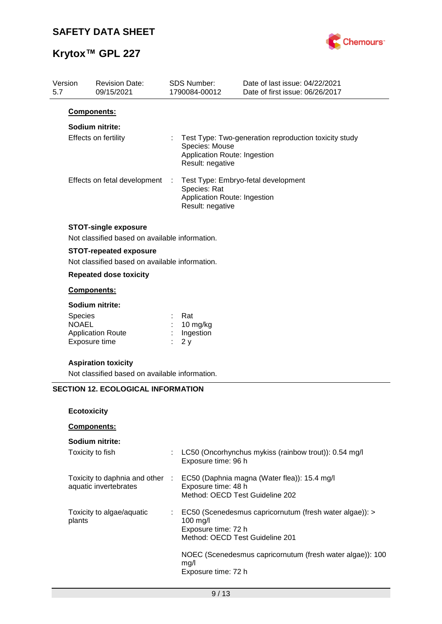

| Version<br>5.7 | <b>Revision Date:</b><br>09/15/2021                                             | <b>SDS Number:</b><br>1790084-00012                                | Date of last issue: 04/22/2021<br>Date of first issue: 06/26/2017 |
|----------------|---------------------------------------------------------------------------------|--------------------------------------------------------------------|-------------------------------------------------------------------|
|                | Components:                                                                     |                                                                    |                                                                   |
|                | Sodium nitrite:                                                                 |                                                                    |                                                                   |
|                | Effects on fertility                                                            | Species: Mouse<br>Application Route: Ingestion<br>Result: negative | Test Type: Two-generation reproduction toxicity study             |
|                | Effects on fetal development                                                    | Species: Rat<br>Application Route: Ingestion<br>Result: negative   | Test Type: Embryo-fetal development                               |
|                | <b>STOT-single exposure</b><br>Not classified based on available information.   |                                                                    |                                                                   |
|                |                                                                                 |                                                                    |                                                                   |
|                | <b>STOT-repeated exposure</b><br>Not classified based on available information. |                                                                    |                                                                   |
|                | <b>Repeated dose toxicity</b>                                                   |                                                                    |                                                                   |
|                | Components:                                                                     |                                                                    |                                                                   |
|                | Sodium nitrite:                                                                 |                                                                    |                                                                   |
| <b>Species</b> |                                                                                 | Rat                                                                |                                                                   |
| <b>NOAEL</b>   |                                                                                 | 10 mg/kg<br>Ingestion                                              |                                                                   |
|                | <b>Application Route</b><br>Exposure time                                       | 2y                                                                 |                                                                   |
|                | <b>Aspiration toxicity</b><br>Not classified based on available information.    |                                                                    |                                                                   |
|                | <b>SECTION 12. ECOLOGICAL INFORMATION</b>                                       |                                                                    |                                                                   |
|                |                                                                                 |                                                                    |                                                                   |
|                | <b>Ecotoxicity</b>                                                              |                                                                    |                                                                   |
|                | Components:                                                                     |                                                                    |                                                                   |
|                | Sodium nitrite:                                                                 |                                                                    |                                                                   |
|                | Toxicity to fish                                                                | Exposure time: 96 h                                                | LC50 (Oncorhynchus mykiss (rainbow trout)): 0.54 mg/l             |
|                | Toxicity to daphnia and other :                                                 |                                                                    | EC50 (Daphnia magna (Water flea)): 15.4 mg/l                      |
|                | aquatic invertebrates                                                           | Exposure time: 48 h<br>Method: OECD Test Guideline 202             |                                                                   |
| plants         | Toxicity to algae/aquatic                                                       | 100 mg/l<br>Exposure time: 72 h<br>Method: OECD Test Guideline 201 | EC50 (Scenedesmus capricornutum (fresh water algae)): >           |
|                |                                                                                 | mg/l<br>Exposure time: 72 h                                        | NOEC (Scenedesmus capricornutum (fresh water algae)): 100         |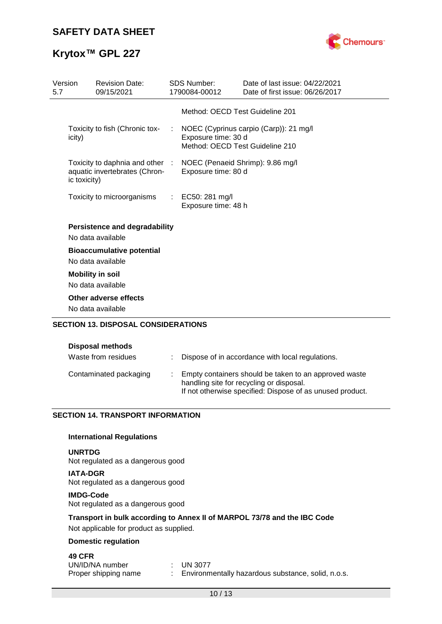



| Version<br>5.7 |              | <b>Revision Date:</b><br>09/15/2021                              |                             | <b>SDS Number:</b><br>1790084-00012                     | Date of last issue: 04/22/2021<br>Date of first issue: 06/26/2017 |
|----------------|--------------|------------------------------------------------------------------|-----------------------------|---------------------------------------------------------|-------------------------------------------------------------------|
|                |              |                                                                  |                             | Method: OECD Test Guideline 201                         |                                                                   |
|                | icity)       | Toxicity to fish (Chronic tox-                                   |                             | Exposure time: 30 d<br>Method: OECD Test Guideline 210  | NOEC (Cyprinus carpio (Carp)): 21 mg/l                            |
|                | ic toxicity) | Toxicity to daphnia and other :<br>aquatic invertebrates (Chron- |                             | NOEC (Penaeid Shrimp): 9.86 mg/l<br>Exposure time: 80 d |                                                                   |
|                |              | Toxicity to microorganisms                                       | $\mathcal{L}^{\mathcal{L}}$ | EC50: 281 mg/l<br>Exposure time: 48 h                   |                                                                   |
|                |              | <b>Persistence and degradability</b><br>No data available        |                             |                                                         |                                                                   |
|                |              | <b>Bioaccumulative potential</b><br>No data available            |                             |                                                         |                                                                   |
|                |              | <b>Mobility in soil</b>                                          |                             |                                                         |                                                                   |
|                |              | No data available                                                |                             |                                                         |                                                                   |
|                |              | Other adverse effects                                            |                             |                                                         |                                                                   |
|                |              | No data available                                                |                             |                                                         |                                                                   |
|                |              | <b>SECTION 13. DISPOSAL CONSIDERATIONS</b>                       |                             |                                                         |                                                                   |

| <b>Disposal methods</b><br>Waste from residues | Dispose of in accordance with local regulations.                                                                                                               |
|------------------------------------------------|----------------------------------------------------------------------------------------------------------------------------------------------------------------|
| Contaminated packaging                         | Empty containers should be taken to an approved waste<br>handling site for recycling or disposal.<br>If not otherwise specified: Dispose of as unused product. |

## **SECTION 14. TRANSPORT INFORMATION**

### **International Regulations**

### **UNRTDG**

Not regulated as a dangerous good

**IATA-DGR** Not regulated as a dangerous good

### **IMDG-Code**

Not regulated as a dangerous good

### **Transport in bulk according to Annex II of MARPOL 73/78 and the IBC Code**

Not applicable for product as supplied.

### **Domestic regulation**

## **49 CFR**

| UN/ID/NA number      | $\pm$ UN 3077                                      |
|----------------------|----------------------------------------------------|
| Proper shipping name | Environmentally hazardous substance, solid, n.o.s. |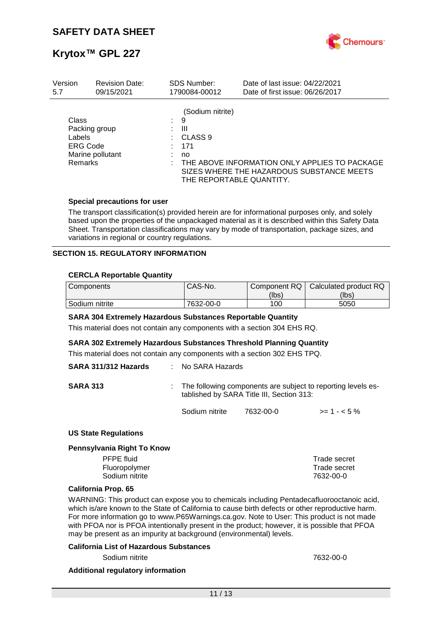

| Version                                                               | <b>Revision Date:</b> | <b>SDS Number:</b>                                 | Date of last issue: 04/22/2021                                                                                         |
|-----------------------------------------------------------------------|-----------------------|----------------------------------------------------|------------------------------------------------------------------------------------------------------------------------|
| 5.7                                                                   | 09/15/2021            | 1790084-00012                                      | Date of first issue: 06/26/2017                                                                                        |
| Class<br>Packing group<br>Labels<br><b>ERG Code</b><br><b>Remarks</b> | Marine pollutant      | (Sodium nitrite)<br>9<br>Ш<br>CLASS 9<br>171<br>no | THE ABOVE INFORMATION ONLY APPLIES TO PACKAGE<br>SIZES WHERE THE HAZARDOUS SUBSTANCE MEETS<br>THE REPORTABLE QUANTITY. |

### **Special precautions for user**

The transport classification(s) provided herein are for informational purposes only, and solely based upon the properties of the unpackaged material as it is described within this Safety Data Sheet. Transportation classifications may vary by mode of transportation, package sizes, and variations in regional or country regulations.

### **SECTION 15. REGULATORY INFORMATION**

### **CERCLA Reportable Quantity**

| Components     | CAS-No.   |       | Component RQ   Calculated product RQ |
|----------------|-----------|-------|--------------------------------------|
|                |           | (lbs) | (lbs)                                |
| Sodium nitrite | 7632-00-0 | 100   | 5050                                 |

### **SARA 304 Extremely Hazardous Substances Reportable Quantity**

This material does not contain any components with a section 304 EHS RQ.

### **SARA 302 Extremely Hazardous Substances Threshold Planning Quantity**

This material does not contain any components with a section 302 EHS TPQ.

| SARA 311/312 Hazards | : No SARA Hazards |                                                                                                             |              |
|----------------------|-------------------|-------------------------------------------------------------------------------------------------------------|--------------|
| <b>SARA 313</b>      |                   | : The following components are subject to reporting levels es-<br>tablished by SARA Title III, Section 313: |              |
|                      | Sodium nitrite    | 7632-00-0                                                                                                   | $>= 1 - 5\%$ |

### **US State Regulations**

#### **Pennsylvania Right To Know**

| Trade secret |
|--------------|
| Trade secret |
| 7632-00-0    |
|              |

### **California Prop. 65**

WARNING: This product can expose you to chemicals including Pentadecafluorooctanoic acid, which is/are known to the State of California to cause birth defects or other reproductive harm. For more information go to www.P65Warnings.ca.gov. Note to User: This product is not made with PFOA nor is PFOA intentionally present in the product; however, it is possible that PFOA may be present as an impurity at background (environmental) levels.

### **California List of Hazardous Substances**

Sodium nitrite 7632-00-0

### **Additional regulatory information**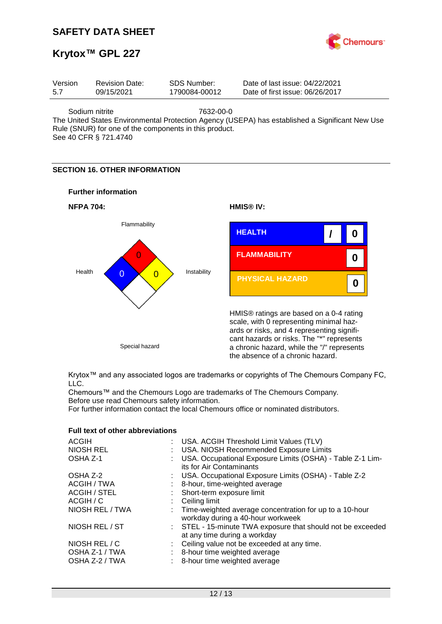

# **Krytox™ GPL 227**

| Version | <b>Revision Date:</b> | SDS Number:   | Date of last issue: 04/22/2021  |  |
|---------|-----------------------|---------------|---------------------------------|--|
| 5.7     | 09/15/2021            | 1790084-00012 | Date of first issue: 06/26/2017 |  |
|         |                       |               |                                 |  |

Sodium nitrite 7632-00-0

The United States Environmental Protection Agency (USEPA) has established a Significant New Use Rule (SNUR) for one of the components in this product.

See 40 CFR § 721.4740

## **SECTION 16. OTHER INFORMATION**





Krytox™ and any associated logos are trademarks or copyrights of The Chemours Company FC, LLC.

Chemours™ and the Chemours Logo are trademarks of The Chemours Company. Before use read Chemours safety information.

For further information contact the local Chemours office or nominated distributors.

| ACGIH                                             | : USA. ACGIH Threshold Limit Values (TLV)                                                                      |
|---------------------------------------------------|----------------------------------------------------------------------------------------------------------------|
| <b>NIOSH REL</b>                                  | : USA. NIOSH Recommended Exposure Limits                                                                       |
| OSHA Z-1                                          | : USA. Occupational Exposure Limits (OSHA) - Table Z-1 Lim-<br>its for Air Contaminants                        |
| OSHA Z-2                                          | : USA. Occupational Exposure Limits (OSHA) - Table Z-2                                                         |
| ACGIH / TWA                                       | : 8-hour, time-weighted average                                                                                |
| <b>ACGIH / STEL</b>                               | : Short-term exposure limit                                                                                    |
| ACGIH / C                                         | $\therefore$ Ceiling limit                                                                                     |
| NIOSH REL / TWA                                   | : Time-weighted average concentration for up to a 10-hour<br>workday during a 40-hour workweek                 |
| NIOSH REL / ST                                    | : STEL - 15-minute TWA exposure that should not be exceeded<br>at any time during a workday                    |
| NIOSH REL / C<br>OSHA Z-1 / TWA<br>OSHA Z-2 / TWA | : Ceiling value not be exceeded at any time.<br>: 8-hour time weighted average<br>8-hour time weighted average |